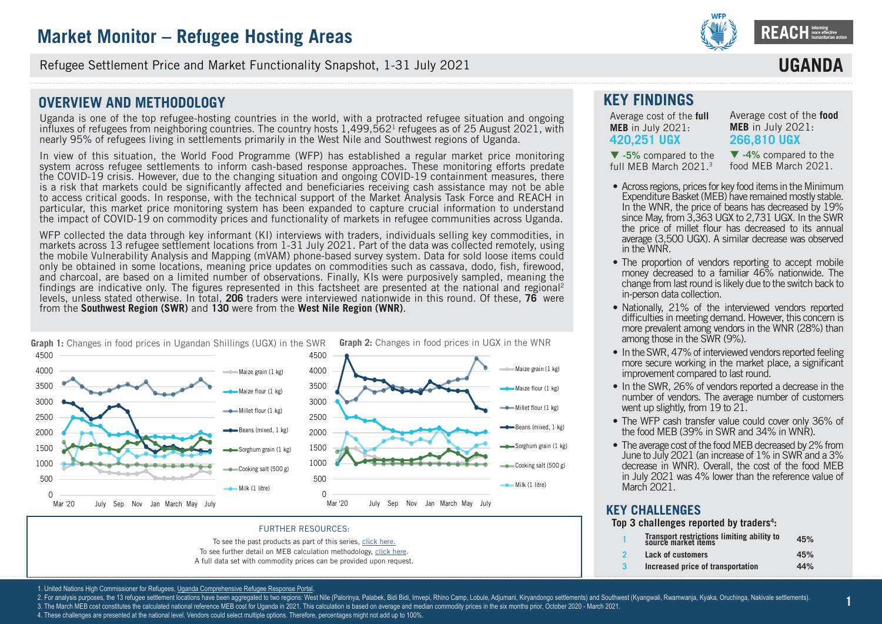

Refugee Settlement Price and Market Functionality Snapshot, 1-31 July 2021

### **OVERVIEW AND METHODOLOGY**

Uganda is one of the top refugee-hosting countries in the world, with a protracted refugee situation and ongoing influxes of refugees from neighboring countries. The country hosts  $1,499,562<sup>1</sup>$  refugees as of 25 August 2021, with nearly 95% of refugees living in settlements primarily in the West Nile and Southwest regions of Uganda.

In view of this situation, the World Food Programme (WFP) has established a regular market price monitoring system across refugee settlements to inform cash-based response approaches. These monitoring efforts predate the COVID-19 crisis. However, due to the changing situation and ongoing COVID-19 containment measures, there is a risk that markets could be significantly affected and beneficiaries receiving cash assistance may not be able to access critical goods. In response, with the technical support of the Market Analysis Task Force and REACH in particular, this market price monitoring system has been expanded to capture crucial information to understand the impact of COVID-19 on commodity prices and functionality of markets in refugee communities across Uganda.

WFP collected the data through key informant (KI) interviews with traders, individuals selling key commodities, in markets across 13 refugee settlement locations from 1-31 July 2021. Part of the data was collected remotely, using the mobile Vulnerability Analysis and Mapping (mVAM) phone-based survey system. Data for sold loose items could only be obtained in some locations, meaning price updates on commodities such as cassava, dodo, fish, firewood, and charcoal, are based on a limited number of observations. Finally, KIs were purposively sampled, meaning the findings are indicative only. The figures represented in this factsheet are presented at the national and regional<sup>2</sup> levels, unless stated otherwise. In total, **[206](DBF_num_assessed_national)** traders were interviewed nationwide in this round. Of these, **[76](DBF_num_assessed_south west)** were from the **Southwest Region (SWR)** and **[130](DBF_num_assessed_west nile)** were from the **West Nile Region (WNR)**.



#### FURTHER RESOURCES:

To see the past products as part of this series, [click here.](https://www.reachresourcecentre.info/country/uganda/cycle/28791/#cycle-28791)

- To see further detail on MEB calculation methodology, [click here.](https://data2.unhcr.org/en/documents/details/77858)
- A full data set with commodity prices can be provided upon request.

### **KEY FINDINGS**

Average cost of the **full MEB** in July 2021: **[420,251](DBF_national_national_meb_full) UGX** 

Average cost of the **food MEB** in July 2021: **[266,810](DBF_national_national_meb_food) UGX**

**IIGAN** 

 **[-5%](DBF_national_national_meb_full_perct_march)** compared to the full MEB March 2021.3

 **[-4](DBF_national_national_meb_food_perct_march)%** compared to the food MEB March 2021.

- Across regions, prices for key food items in the Minimum Expenditure Basket (MEB) have remained mostly stable. In the WNR, the price of beans has decreased by 19% since May, from 3,363 UGX to 2,731 UGX. In the SWR the price of millet flour has decreased to its annual average (3,500 UGX). A similar decrease was observed in the WNR.
- The proportion of vendors reporting to accept mobile money decreased to a familiar 46% nationwide. The change from last round is likely due to the switch back to in-person data collection.
- Nationally, 21% of the interviewed vendors reported difficulties in meeting demand. However, this concern is more prevalent among vendors in the WNR (28%) than among those in the SWR (9%).
- In the SWR, 47% of interviewed vendors reported feeling more secure working in the market place, a significant improvement compared to last round.
- In the SWR, 26% of vendors reported a decrease in the number of vendors. The average number of customers went up slightly, from 19 to 21.
- The WFP cash transfer value could cover only 36% of the food MEB (39% in SWR and 34% in WNR).
- The average cost of the food MEB decreased by 2% from June to July 2021 (an increase of 1% in SWR and a 3% decrease in WNR). Overall, the cost of the food MEB in July 2021 was 4% lower than the reference value of March 2021.

### **KEY CHALLENGES**

**Top 3 challenges reported by traders4 :**

| Transport restrictions limiting ability to<br>source market items | 45% |
|-------------------------------------------------------------------|-----|
| Lack of customers                                                 | 45% |
| Increased price of transportation                                 | 44% |

**1**

1. United Nations High Commissioner for Refugees, Uganda Comprehensive Refugee Response Portal

2. For analysis purposes, the 13 refugee settlement locations have been aggregated to two regions: West Nile (Palorinya, Palabek, Bidi Bidi, Imvepi, Rhino Camp, Lobule, Adjumani, Kirvandongo settlements) and Southwest (Kya

3. The March MEB cost constitutes the calculated national reference MEB cost for Uganda in 2021. This calculation is based on average and median commodity prices in the six months prior, October 2020 - March 2021

4. These challenges are presented at the national level. Vendors could select multiple options. Therefore, percentages might not add up to 100%.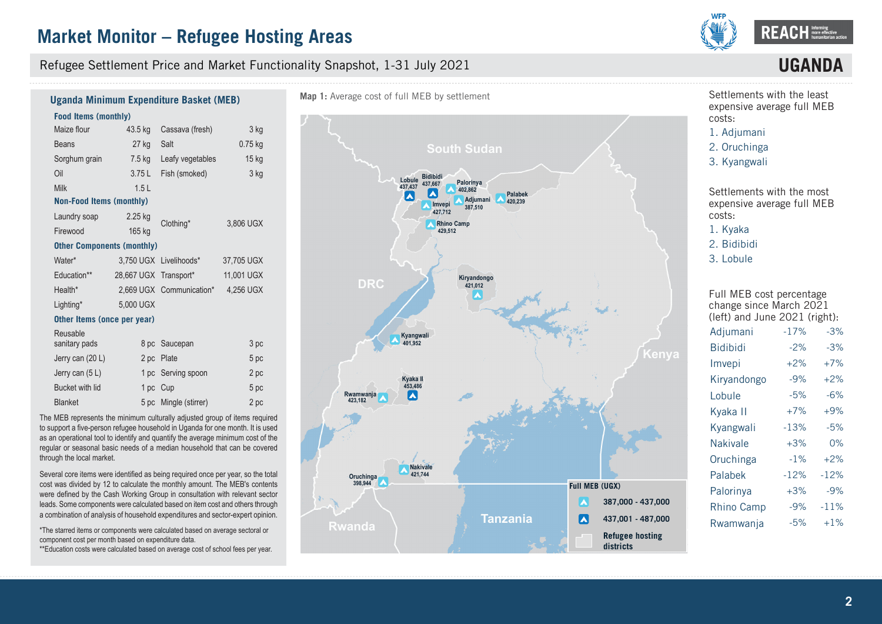Refugee Settlement Price and Market Functionality Snapshot, 1-31 July 2021



## **UGAN**

#### **Food Items (monthly)**  Maize flour Beans Sorghum grain Oil Milk 43.5 kg Cassava (fresh) 27 kg 7.5 kg 3.75 L 1.5 L Salt Leafy vegetables Fish (smoked) 3 kg 0.75 kg 15 kg 3 kg **Non-Food Items (monthly)** Laundry soap Firewood 2.25 kg 165 kg Clothing\* 3,806 UGX **Other Components (monthly)** Water\* Education\*\* Health\* Lighting\* 3,750 UGX Livelihoods\* 28,667 UGX Transport\* 2,669 UGX Communication\* 5,000 UGX 37,705 UGX 11,001 UGX 4,256 UGX **Other Items (once per year) Uganda Minimum Expenditure Basket (MEB)**

| Reusable         |          |                       |      |
|------------------|----------|-----------------------|------|
| sanitary pads    |          | 8 pc Saucepan         | 3 pc |
| Jerry can (20 L) |          | 2 pc Plate            | 5 pc |
| Jerry can (5L)   |          | 1 pc Serving spoon    | 2 pc |
| Bucket with lid  | 1 pc Cup |                       | 5 pc |
| <b>Blanket</b>   |          | 5 pc Mingle (stirrer) | 2 pc |

The MEB represents the minimum culturally adjusted group of items required to support a five-person refugee household in Uganda for one month. It is used as an operational tool to identify and quantify the average minimum cost of the regular or seasonal basic needs of a median household that can be covered through the local market.

Several core items were identified as being required once per year, so the total cost was divided by 12 to calculate the monthly amount. The MEB's contents were defined by the Cash Working Group in consultation with relevant sector leads. Some components were calculated based on item cost and others through a combination of analysis of household expenditures and sector-expert opinion.

\*The starred items or components were calculated based on average sectoral or component cost per month based on expenditure data.

\*\*Education costs were calculated based on average cost of school fees per year.



Settlements with the least expensive average full MEB costs:

1. [Adjumani](DBF_expansive_rank_13)

- 2. [Oruchinga](DBF_expansive_rank_12)
- 3. [Kyangwali](DBF_expansive_rank_11)

Settlements with the most expensive average full MEB costs: 1. [Kyaka](DBF_expansive_rank_1)

- 2. [Bidibidi](DBF_expansive_rank_2)
- 3. [Lobule](DBF_expansive_rank_3)

Full MEB cost percentage change since March 2021 (left) and June 2021 (right):

| Adjumani          | $-17%$ | $-3%$  |
|-------------------|--------|--------|
| <b>Bidibidi</b>   | $-2%$  | $-3%$  |
| Imvepi            | $+2%$  | $+7%$  |
| Kiryandongo       | $-9%$  | $+2%$  |
| Lobule            | $-5%$  | $-6%$  |
| Kyaka II          | $+7%$  | $+9%$  |
| Kyangwali         | $-13%$ | $-5%$  |
| <b>Nakivale</b>   | $+3%$  | 0%     |
| Oruchinga         | $-1%$  | $+2%$  |
| Palabek           | $-12%$ | $-12%$ |
| Palorinya         | $+3%$  | $-9%$  |
| <b>Rhino Camp</b> | $-9%$  | $-11%$ |
| Rwamwanja         | $-5%$  | $+1\%$ |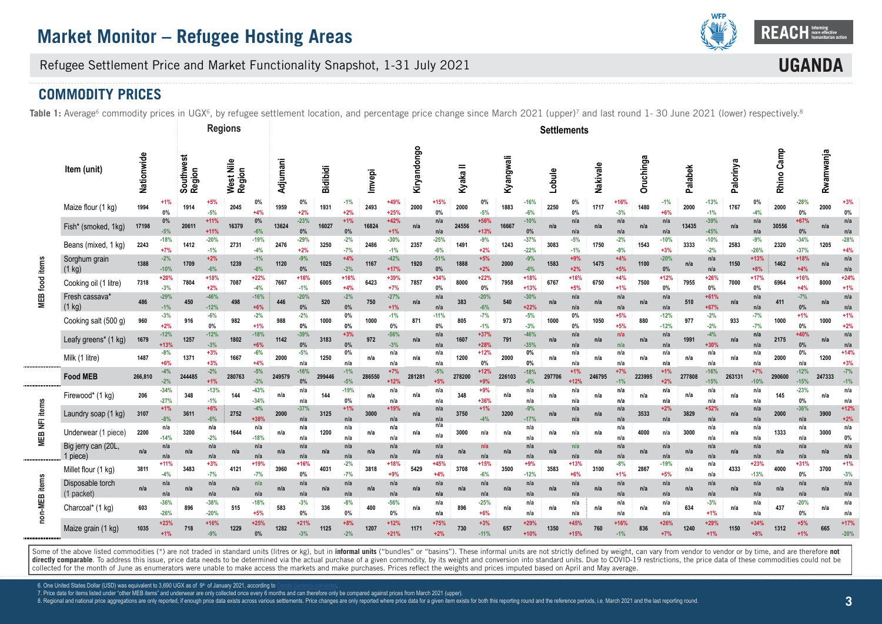

**UGAN** 

Refugee Settlement Price and Market Functionality Snapshot, 1-31 July 2021

## **COMMODITY PRICES**

Table 1: Average<sup>6</sup> commodity prices in UGX<sup>6</sup>, by refugee settlement location, and percentage price change since March 2021 (upper)<sup>7</sup> and last round 1- 30 June 2021 (lower) respectively.<sup>8</sup>

|                       |                                 |            |                  |                     | <b>Regions</b>   |                     |                  |          |                 |                 |                 |        |                  |             |                 |          |                  |           |                  | <b>Settlements</b> |                  |          |                 |           |                  |         |                  |           |                  |            |                  |           |                  |
|-----------------------|---------------------------------|------------|------------------|---------------------|------------------|---------------------|------------------|----------|-----------------|-----------------|-----------------|--------|------------------|-------------|-----------------|----------|------------------|-----------|------------------|--------------------|------------------|----------|-----------------|-----------|------------------|---------|------------------|-----------|------------------|------------|------------------|-----------|------------------|
|                       | Item (unit)                     | Nationwide |                  | Southwest<br>Region |                  | West Nile<br>Region |                  | Adjumani |                 | <b>Bidibidi</b> |                 | Imvepi |                  | Kiryandongo |                 | Kyaka II |                  | Kyangwali |                  | Lobule             |                  | Nakivale |                 | Oruchinga |                  | Palabek |                  | Palorinya |                  | Rhino Camp |                  | Rwamwanja |                  |
|                       | Maize flour (1 kg)              | 1994       | 0%               | 1914                | $-5%$            | 2045                | $0\%$<br>$+4%$   | 1959     | 0%<br>$+2%$     | 1931            | $-1%$<br>$+2%$  | 2493   | $+49°$<br>$+25%$ | 2000        | $+15%$<br>0%    | 2000     | 0%<br>$-5%$      | 1883      | $-16%$<br>$-6%$  | 2250               | 0%<br>$0\%$      | 1717     | $+16%$<br>$-3%$ | 1480      | $-1%$<br>$+6%$   | 2000    | $-13%$<br>$-1%$  | 1767      | 0%<br>$-4%$      | 2000       | $-28%$<br>$0\%$  | 2000      | $+39$<br>0%      |
|                       | Fish* (smoked, 1kg)             | 17198      | $0\%$<br>$-5%$   | 20611               | $+11%$<br>$+11%$ | 16379               | 0%<br>$-6%$      | 13624    | $-23%$<br>0%    | 16027           | $+1%$<br>0%     | 16824  | $+42%$           | n/a         | n/a<br>n/a      | 24556    | +56%<br>$+13%$   | 16667     | $-10%$<br>0%     | n/a                | n/a<br>n/a       | n/a      | n/a<br>n/a      | n/a       | n/a<br>n/a       | 13435   | $-39%$<br>$-45%$ | n/a       | n/a<br>n/a       | 30556      | +67%<br>0%       | n/a       | n/a<br>n/a       |
|                       | Beans (mixed, 1 kg)             | 2243       | $-18%$<br>$+7%$  | 1412                | $-20%$<br>$-1%$  | 2731                | $-19%$<br>$-4%$  | 2476     | $-29%$<br>$+2%$ | 3250            | $-2%$<br>$-7%$  | 2486   | $-30%$<br>$-1%$  | 2357        | $-25%$<br>$-6%$ | 1491     | $-9%$<br>$+2%$   | 1243      | $-37%$<br>$-22%$ | 3083               | $-5%$<br>$-1%$   | 1750     | $-2%$<br>$-8%$  | 1543      | $-10%$<br>$+3%$  | 3333    | $-10%$<br>$-2%$  | 2583      | $-9%$<br>$-26%$  | 2320       | $-34%$<br>$-37%$ | 1205      | $-28%$<br>$+4%$  |
|                       | Sorghum grain<br>(1 kg)         | 1388       | $-2%$<br>$-10%$  | 1709                | $+2%$<br>$-6%$   | 1239                | $-1%$<br>$-6%$   | 1120     | $-9%$<br>0%     | 1025            | $+4%$<br>$-2%$  | 1167   | $-42%$<br>$+17%$ | 1920        | $-51%$<br>0%    | 1888     | $+5%$<br>$+2%$   | 2000      | $-9%$<br>$-6%$   | 1583               | $+9%$<br>$+2%$   | 1475     | $+4%$<br>$+5%$  | 1100      | $-20%$<br>0%     | n/a     | n/a<br>n/a       | 1150      | $+13%$<br>$+8%$  | 1462       | +18%<br>$+4%$    | n/a       | n/a<br>n/a       |
| <b>MEB</b> food items | Cooking oil (1 litre)           | 7318       | $+20%$<br>$-3%$  | 7804                | $+18%$<br>$+2%$  | 7087                | $+22%$<br>$-4%$  | 7667     | $+16%$<br>$-1%$ | 6005            | $+16%$<br>$+4%$ | 6423   | +39%<br>$+7%$    | 7857        | $+34%$<br>0%    | 8000     | $+22%$<br>0%     | 7958      | $+18%$<br>$+13%$ | 6767               | $+16%$<br>$+5%$  | 6750     | $+4%$<br>$+1%$  | 7500      | $+12%$<br>0%     | 7955    | $+26%$<br>0%     | 7000      | $+17%$<br>0%     | 6964       | +16%<br>$+4%$    | 8000      | $+24%$<br>$+1%$  |
|                       | Fresh cassava'<br>$(1$ kg)      | 486        | $-29%$<br>$-1%$  | 450                 | $-46%$<br>$-12%$ | 498                 | $-16%$<br>$+6%$  | 446      | $-20%$<br>0%    | 520             | $-2%$<br>0%     | 750    | $-27%$<br>$+1%$  | n/a         | n/a<br>n/a      | 383      | $-20%$<br>$-6%$  | 540       | $-30%$<br>$+22%$ | n/a                | n/a<br>n/a       | n/a      | n/a<br>n/a      | n/a       | n/a<br>n/a       | 510     | +61%<br>$+67%$   | n/a       | n/a<br>n/a       | 411        | $-7%$<br>0%      | n/a       | n/a<br>n/a       |
|                       | Cooking salt (500 g)            | 960        | $-3%$<br>$+2%$   | 916                 | $-6%$<br>$0\%$   | 982                 | $-2%$<br>$+1%$   | 988      | $-2%$<br>0%     | 1000            | 0%<br>0%        | 1000   | $-1%$<br>0%      | 871         | $-11%$<br>0%    | 805      | $-7%$<br>$-1%$   | 973       | $-5%$<br>$-3%$   | 1000               | 0%<br>$0\%$      | 1050     | $+5%$<br>$+5%$  | 880       | $-12%$<br>$-12%$ | 977     | $-2%$<br>$-2%$   | 933       | $-7%$<br>$-7%$   | 1000       | $+1%$<br>$0\%$   | 1000      | $+1%$<br>$+2%$   |
|                       | Leafy greens* (1 kg)            | 1679       | $-12%$<br>$+13%$ | 1257                | $-12%$<br>$-3%$  | 1802                | $-18%$<br>$+6%$  | 1142     | $-39%$<br>0%    | 3183            | $+3%$<br>0%     | 972    | $-56%$<br>$-3%$  | n/a         | n/a<br>n/a      | 1607     | $+37%$<br>$+28%$ | 791       | $-46%$<br>$-35%$ | n/a                | n/a<br>n/a       | n/a      | n/a<br>n/a      | n/a       | n/a<br>n/a       | 1991    | $-4%$<br>$+30%$  | n/a       | n/a<br>n/a       | 2175       | +40%<br>0%       | n/a       | n/a<br>n/a       |
|                       | Milk (1 litre)                  | 1487       | $-8%$<br>$+6%$   | 1371                | $+3%$<br>$+3%$   | 1667                | $-6%$<br>$+4%$   | 2000     | $-5%$<br>n/a    | 1250            | 0%<br>n/a       | n/a    | n/a<br>n/a       | n/a         | n/a<br>n/a      | 1200     | $+12%$<br>0%     | 2000      | 0%<br>0%         | n/a                | n/a<br>n/a       | n/a      | n/a<br>n/a      | n/a       | n/a<br>n/a       | n/a     | n/a<br>n/a       | n/a       | n/a<br>n/a       | 2000       | $0\%$<br>n/a     | 1200      | $+14%$<br>$+3%$  |
|                       | <b>Food MEB</b>                 | 266,810    | $-4%$<br>$-2%$   | 244485              | $-2%$<br>$+1%$   | 280763              | $-5%$<br>$-3%$   | 249579   | $-16%$<br>0%    | 299446          | $-1%$<br>$-5%$  | 286550 | $+7%$<br>$+12o$  | 281281      | $-5%$<br>$+5%$  | 278200   | $+12%$<br>$+9%$  | 226103    | $-18%$<br>$-6%$  | 297706             | $+1%$<br>$+12%$  | 246795   | $+7%$<br>$-1%$  | 223995    | $+1%$<br>$+2%$   | 277808  | $-16%$<br>$-15%$ | 263131    | $+7%$<br>$-109$  | 290600     | $-12%$<br>$-15%$ | 247333    | $-7%$<br>$-1%$   |
|                       | Firewood* (1 kg)                | 206        | $-34%$<br>$-27%$ | 348                 | $-13%$<br>$-1%$  | 144                 | $-43%$<br>$-34%$ | n/a      | n/a<br>n/a      | 144             | $-19%$<br>0%    | n/a    | n/a<br>n/a       | n/a         | n/a<br>n/a      | 348      | $+9%$<br>$+36%$  | n/a       | n/a<br>n/a       | n/a                | n/a<br>n/a       | n/a      | n/a<br>n/a      | n/a       | n/a<br>n/a       | n/a     | n/a<br>n/a       | n/a       | n/a<br>n/a       | 145        | $-23%$<br>0%     | n/a       | n/a<br>n/a       |
| NFI items             | Laundry soap (1 kg)             | 3107       | $+1%$<br>$-8%$   | 3611                | $+6%$<br>$-6%$   | 2752                | $-4%$<br>+38%    | 2000     | $-37%$<br>n/a   | 3125            | $+1%$<br>n/a    | 3000   | +19%<br>n/a      | n/a         | n/a<br>n/a      | 3750     | $+1%$<br>$-4%$   | 3200      | $-9%$<br>$-17%$  | n/a                | n/a<br>n/a       | n/a      | n/a<br>n/a      | 3533      | $+2%$<br>n/a     | 3829    | $+52%$<br>n/a    | n/a       | n/a<br>n/a       | 2000       | $-36%$<br>n/a    | 3900      | $+12%$<br>$+2%$  |
| MEB <sub>I</sub>      | Underwear (1 piece)             | 2200       | n/a<br>$-14%$    | 3200                | n/a<br>$-2%$     | 1644                | n/a<br>$-18%$    | n/a      | n/a<br>n/a      | 1200            | n/a<br>n/a      | n/a    | n/a<br>n/a       | n/a         | n/a<br>n/a      | 3000     | n/a              | n/a       | n/a<br>n/a       | n/a                | n/a              | n/a      | n/a<br>n/a      | 4000      | n/a              | 3000    | n/a<br>n/a       | n/a       | n/a<br>n/a       | 1333       | n/a<br>n/a       | 3000      | n/a<br>0%        |
|                       | Big jerry can (20L,<br>1 piece) | n/a        | n/a<br>n/a       | n/a                 | n/a<br>n/a       | n/a                 | n/a<br>n/a       | n/a      | n/a<br>n/a      | n/a             | n/a<br>n/a      | n/a    | n/a<br>n/a       | n/a         | n/a<br>n/a      | n/a      | n/a<br>n/a       | n/a       | n/a<br>n/a       | n/a                | n/a<br>n/a       | n/a      | n/a<br>n/a      | n/a       | n/a<br>n/a       | n/a     | n/a<br>n/a       | n/a       | n/a<br>n/a       | n/a        | n/a<br>n/a       | n/a       | n/a<br>n/a       |
|                       | Millet flour (1 kg)             | 3811       | $+11%$<br>$-4%$  | 3483                | $+3%$<br>$-7%$   | 4121                | +19%<br>$-7%$    | 3960     | $+16%$<br>0%    | 4031            | $-2%$<br>$-7%$  | 3818   | +18%<br>$+9%$    | 5429        | $+45%$<br>$+4%$ | 3708     | $+15%$<br>$-6%$  | 3500      | $+9%$<br>$-12%$  | 3583               | $+13%$<br>$+6%$  | 3100     | $-8%$<br>$+1%$  | 2867      | $-19%$<br>$+5%$  | n/a     | n/a<br>n/a       | 4333      | $+23%$<br>$-13%$ | 4000       | +31%<br>0%       | 3700      | $+1%$<br>$-3%$   |
| items                 | Disposable torch<br>(1 packet)  | n/a        | n/a<br>n/a       | n/a                 | n/a<br>n/a       | n/a                 | n/a<br>n/a       | n/a      | n/a<br>n/a      | n/a             | n/a<br>n/a      | n/a    | n/a<br>n/a       | n/a         | n/a<br>n/a      | n/a      | n/a<br>n/a       | n/a       | n/a<br>n/a       | n/a                | n/a<br>n/a       | n/a      | n/a<br>n/a      | n/a       | n/a<br>n/a       | n/a     | n/a<br>n/a       | n/a       | n/a<br>n/a       | n/a        | n/a<br>n/a       | n/a       | n/a<br>n/a       |
| non-MEB               | Charcoal* (1 kg)                | 603        | $-36%$<br>$-26%$ | 896                 | $-38%$<br>$-20%$ | 515                 | $-18%$<br>$+5%$  | 583      | $-3%$<br>0%     | 336             | $-8%$<br>0%     | 400    | $-56%$<br>0%     | n/a         | n/a<br>n/a      | 896      | $-25%$<br>$+6%$  | n/a       | n/a<br>n/a       | n/a                | n/a<br>n/a       | n/a      | n/a<br>n/a      | n/a       | n/a<br>n/a       | 634     | $-3%$<br>$+1%$   | n/a       | n/a<br>n/a       | 437        | $-20%$<br>$0\%$  | n/a       | n/a<br>n/a       |
|                       | Maize grain (1 kg)              | 1035       | $+23%$<br>$+1%$  | 718                 | $+16%$<br>$-9%$  | 1229                | $+25%$<br>$0\%$  | 1282     | $+21%$<br>$-3%$ | 1125            | $+8%$<br>$-2%$  | 1207   | $+12%$<br>$+21%$ | 1171        | $+75%$<br>$+2%$ | 730      | $+3%$<br>$-11%$  | 657       | $+29%$<br>$+10%$ | 1350               | $+45%$<br>$+15%$ | 760      | $+16%$<br>$-1%$ | 836       | $+26%$<br>$+7%$  | 1240    | $+29%$<br>$+1%$  | 1150      | $+34%$<br>$+8%$  | 1312       | $+5%$<br>$+1%$   | 665       | $+17%$<br>$-20%$ |

Some of the above listed commodities (\*) are not traded in standard units (litres or kg), but in informal units ("bundles" or "basins"). These informal units are not strictly defined by weight, can vary from vendor to vend directly comparable. To address this issue, price data needs to be determined via the actual purchase of a given commodity, by its weight and conversion into standard units. Due to COVID-19 restrictions, the price data of collected for the month of June as enumerators were unable to make access the markets and make purchases. Prices reflect the weights and prices imputed based on April and May average.

6. One United States Dollar (USD) was equivalent to 3,690 UGX as of 9th of January 2021, according to

7. Price data for items listed under "other MEB items" and underwear are only collected once every 6 months and can therefore only be compared against prices from March 2021 (upper).

8. Regional and national price aggregations are only reported, if enough price data exists across various settlements. Price changes are only reported where price data for a given item exists for both this reporting round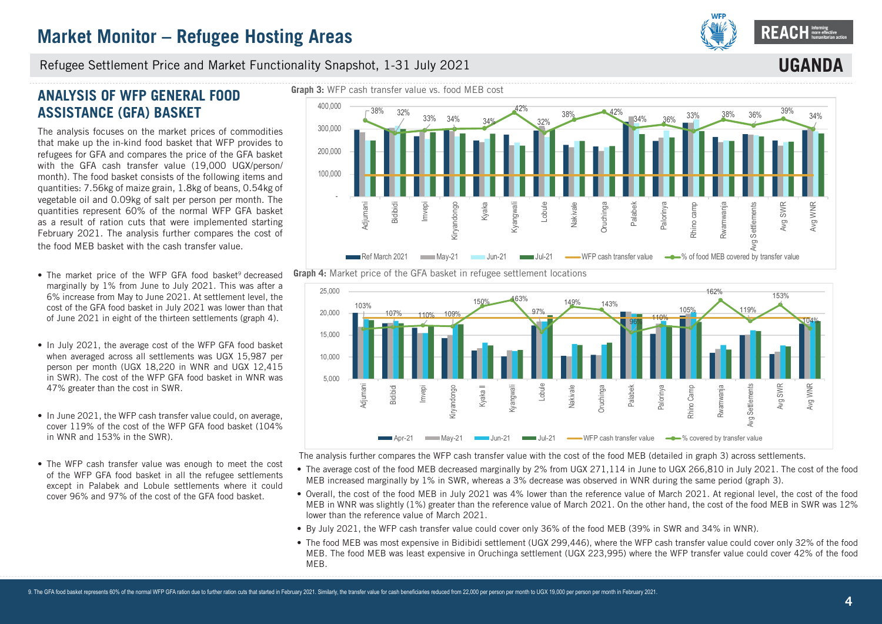

**UGANDA**

#### Refugee Settlement Price and Market Functionality Snapshot, 1-31 July 2021

## **ANALYSIS OF WFP GENERAL FOOD ASSISTANCE (GFA) BASKET**

The analysis focuses on the market prices of commodities that make up the in-kind food basket that WFP provides to refugees for GFA and compares the price of the GFA basket with the GFA cash transfer value (19,000 UGX/person/ month). The food basket consists of the following items and quantities: 7.56kg of maize grain, 1.8kg of beans, 0.54kg of vegetable oil and 0.09kg of salt per person per month. The quantities represent 60% of the normal WFP GFA basket as a result of ration cuts that were implemented starting February 2021. The analysis further compares the cost of the food MEB basket with the cash transfer value.

- The market price of the WFP GFA food basket<sup>9</sup> decreased marginally by 1% from June to July 2021. This was after a 6% increase from May to June 2021. At settlement level, the cost of the GFA food basket in July 2021 was lower than that of June 2021 in eight of the thirteen settlements (graph 4).
- In July 2021, the average cost of the WFP GFA food basket when averaged across all settlements was UGX 15,987 per person per month (UGX 18,220 in WNR and UGX 12,415 in SWR). The cost of the WFP GFA food basket in WNR was 47% greater than the cost in SWR.
- In June 2021, the WFP cash transfer value could, on average, cover 119% of the cost of the WFP GFA food basket (104% in WNR and 153% in the SWR).
- The WFP cash transfer value was enough to meet the cost of the WFP GFA food basket in all the refugee settlements except in Palabek and Lobule settlements where it could cover 96% and 97% of the cost of the GFA food basket.







The analysis further compares the WFP cash transfer value with the cost of the food MEB (detailed in graph 3) across settlements.

- The average cost of the food MEB decreased marginally by 2% from UGX 271,114 in June to UGX 266,810 in July 2021. The cost of the food MEB increased marginally by 1% in SWR, whereas a 3% decrease was observed in WNR during the same period (graph 3).
- Overall, the cost of the food MEB in July 2021 was 4% lower than the reference value of March 2021. At regional level, the cost of the food MEB in WNR was slightly (1%) greater than the reference value of March 2021. On the other hand, the cost of the food MEB in SWR was 12% lower than the reference value of March 2021.
- By July 2021, the WFP cash transfer value could cover only 36% of the food MEB (39% in SWR and 34% in WNR).
- The food MEB was most expensive in Bidibidi settlement (UGX 299,446), where the WFP cash transfer value could cover only 32% of the food MEB. The food MEB was least expensive in Oruchinga settlement (UGX 223,995) where the WFP transfer value could cover 42% of the food MEB.